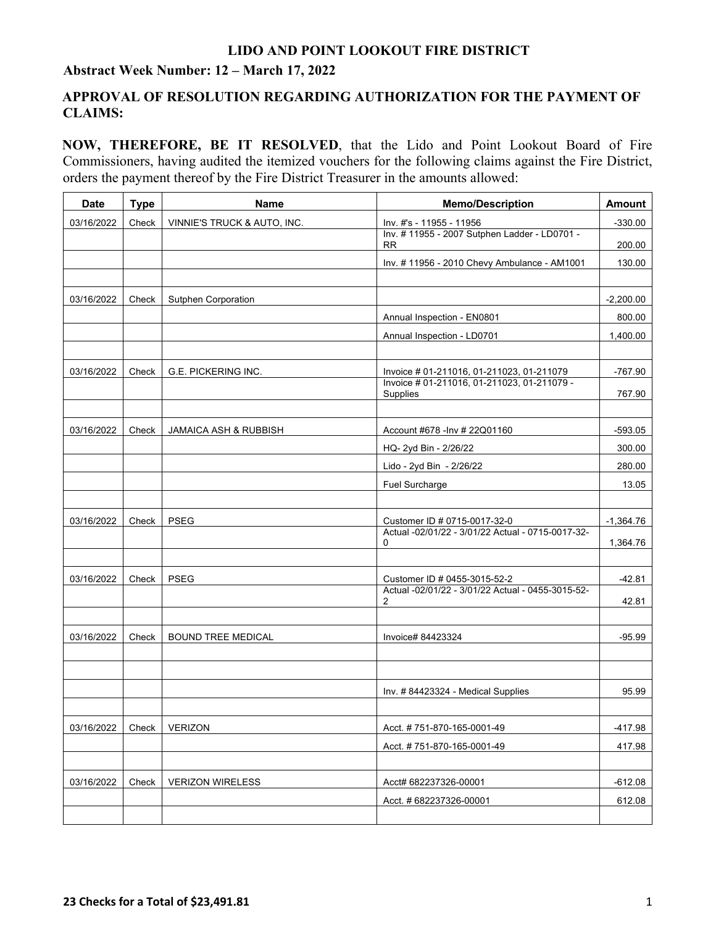#### **Abstract Week Number: 12 – March 17, 2022**

### **APPROVAL OF RESOLUTION REGARDING AUTHORIZATION FOR THE PAYMENT OF CLAIMS:**

**NOW, THEREFORE, BE IT RESOLVED**, that the Lido and Point Lookout Board of Fire Commissioners, having audited the itemized vouchers for the following claims against the Fire District, orders the payment thereof by the Fire District Treasurer in the amounts allowed:

| <b>Date</b> | <b>Type</b> | <b>Name</b>                      | <b>Memo/Description</b>                                   | <b>Amount</b> |
|-------------|-------------|----------------------------------|-----------------------------------------------------------|---------------|
| 03/16/2022  | Check       | VINNIE'S TRUCK & AUTO, INC.      | Inv. #'s - 11955 - 11956                                  | $-330.00$     |
|             |             |                                  | Inv. #11955 - 2007 Sutphen Ladder - LD0701 -<br><b>RR</b> | 200.00        |
|             |             |                                  | Inv. #11956 - 2010 Chevy Ambulance - AM1001               | 130.00        |
|             |             |                                  |                                                           |               |
| 03/16/2022  | Check       | <b>Sutphen Corporation</b>       |                                                           | $-2,200.00$   |
|             |             |                                  | Annual Inspection - EN0801                                | 800.00        |
|             |             |                                  | Annual Inspection - LD0701                                | 1,400.00      |
|             |             |                                  |                                                           |               |
| 03/16/2022  | Check       | G.E. PICKERING INC.              | Invoice # 01-211016, 01-211023, 01-211079                 | -767.90       |
|             |             |                                  | Invoice # 01-211016, 01-211023, 01-211079 -<br>Supplies   | 767.90        |
|             |             |                                  |                                                           |               |
| 03/16/2022  | Check       | <b>JAMAICA ASH &amp; RUBBISH</b> | Account #678 - Inv # 22Q01160                             | $-593.05$     |
|             |             |                                  | HQ- 2yd Bin - 2/26/22                                     | 300.00        |
|             |             |                                  | Lido - 2yd Bin - 2/26/22                                  | 280.00        |
|             |             |                                  | Fuel Surcharge                                            | 13.05         |
|             |             |                                  |                                                           |               |
| 03/16/2022  | Check       | <b>PSEG</b>                      | Customer ID # 0715-0017-32-0                              | $-1,364.76$   |
|             |             |                                  | Actual -02/01/22 - 3/01/22 Actual - 0715-0017-32-<br>0    | 1,364.76      |
|             |             |                                  |                                                           |               |
| 03/16/2022  | Check       | <b>PSEG</b>                      | Customer ID # 0455-3015-52-2                              | $-42.81$      |
|             | 2           |                                  | Actual -02/01/22 - 3/01/22 Actual - 0455-3015-52-         | 42.81         |
|             |             |                                  |                                                           |               |
| 03/16/2022  | Check       | <b>BOUND TREE MEDICAL</b>        | Invoice# 84423324                                         | $-95.99$      |
|             |             |                                  |                                                           |               |
|             |             |                                  |                                                           |               |
|             |             |                                  | Inv. #84423324 - Medical Supplies                         | 95.99         |
|             |             |                                  |                                                           |               |
| 03/16/2022  | Check       | <b>VERIZON</b>                   | Acct. #751-870-165-0001-49                                | $-417.98$     |
|             |             |                                  | Acct. #751-870-165-0001-49                                | 417.98        |
|             |             |                                  |                                                           |               |
| 03/16/2022  | Check       | <b>VERIZON WIRELESS</b>          | Acct# 682237326-00001                                     | $-612.08$     |
|             |             |                                  | Acct. # 682237326-00001                                   | 612.08        |
|             |             |                                  |                                                           |               |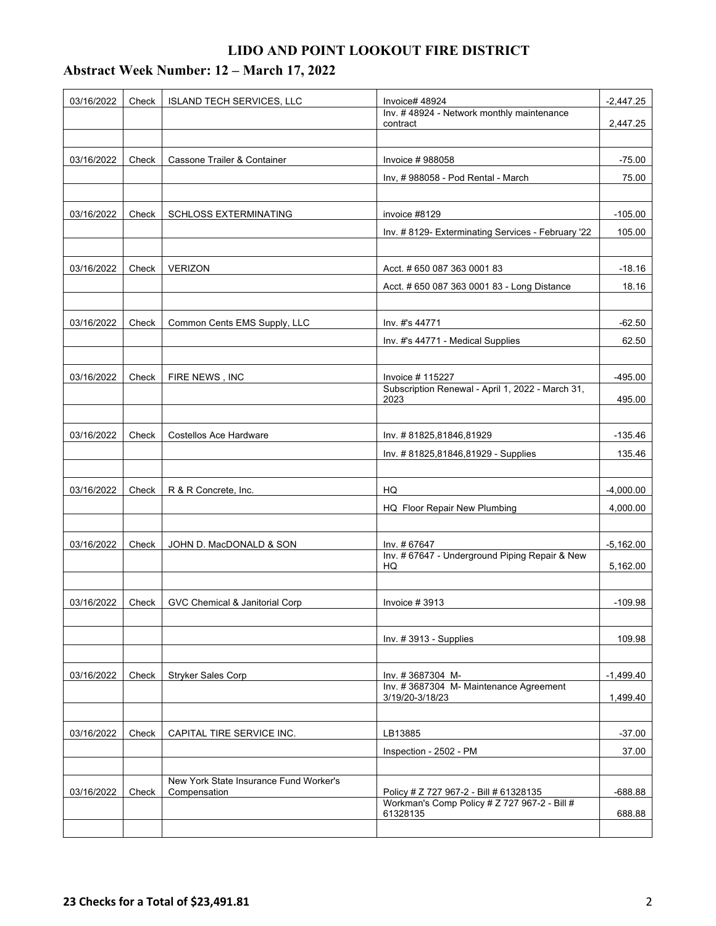# **Abstract Week Number: 12 – March 17, 2022**

| 03/16/2022 | Check | <b>ISLAND TECH SERVICES, LLC</b>       | Invoice# 48924<br>Inv. #48924 - Network monthly maintenance                            |             |  |
|------------|-------|----------------------------------------|----------------------------------------------------------------------------------------|-------------|--|
|            |       |                                        | contract                                                                               | 2,447.25    |  |
|            |       |                                        |                                                                                        |             |  |
| 03/16/2022 | Check | Cassone Trailer & Container            | Invoice # 988058                                                                       | $-75.00$    |  |
|            |       |                                        | Inv, #988058 - Pod Rental - March                                                      | 75.00       |  |
|            |       |                                        |                                                                                        |             |  |
| 03/16/2022 | Check | <b>SCHLOSS EXTERMINATING</b>           | invoice #8129                                                                          | $-105.00$   |  |
|            |       |                                        | Inv. #8129- Exterminating Services - February '22                                      | 105.00      |  |
|            |       |                                        |                                                                                        |             |  |
| 03/16/2022 | Check | <b>VERIZON</b>                         | Acct. #650 087 363 0001 83                                                             | $-18.16$    |  |
|            |       |                                        | Acct. # 650 087 363 0001 83 - Long Distance                                            | 18.16       |  |
|            |       |                                        |                                                                                        |             |  |
| 03/16/2022 | Check | Common Cents EMS Supply, LLC           | Inv. #'s 44771                                                                         | $-62.50$    |  |
|            |       |                                        | Inv. #'s 44771 - Medical Supplies                                                      | 62.50       |  |
|            |       |                                        |                                                                                        |             |  |
| 03/16/2022 | Check | FIRE NEWS, INC                         | Invoice # 115227                                                                       | $-495.00$   |  |
|            |       |                                        | Subscription Renewal - April 1, 2022 - March 31,<br>2023                               | 495.00      |  |
|            |       |                                        |                                                                                        |             |  |
| 03/16/2022 | Check | Costellos Ace Hardware                 | Inv. #81825,81846,81929                                                                | $-135.46$   |  |
|            |       |                                        | Inv. #81825,81846,81929 - Supplies                                                     | 135.46      |  |
|            |       |                                        |                                                                                        |             |  |
| 03/16/2022 | Check | R & R Concrete, Inc.                   | HQ                                                                                     | $-4,000.00$ |  |
|            |       |                                        | HQ Floor Repair New Plumbing                                                           | 4,000.00    |  |
|            |       |                                        |                                                                                        |             |  |
| 03/16/2022 | Check | JOHN D. MacDONALD & SON                | Inv. # 67647                                                                           | $-5,162.00$ |  |
|            |       |                                        | Inv. #67647 - Underground Piping Repair & New                                          |             |  |
|            |       |                                        | HQ                                                                                     | 5,162.00    |  |
| 03/16/2022 | Check | GVC Chemical & Janitorial Corp         | Invoice #3913                                                                          | $-109.98$   |  |
|            |       |                                        |                                                                                        |             |  |
|            |       |                                        | Inv. #3913 - Supplies                                                                  | 109.98      |  |
|            |       |                                        |                                                                                        |             |  |
| 03/16/2022 | Check | <b>Stryker Sales Corp</b>              | Inv. #3687304 M-                                                                       | $-1,499.40$ |  |
|            |       |                                        | Inv. #3687304 M- Maintenance Agreement                                                 |             |  |
|            |       |                                        | 3/19/20-3/18/23                                                                        | 1,499.40    |  |
| 03/16/2022 |       | CAPITAL TIRE SERVICE INC.              | LB13885                                                                                | $-37.00$    |  |
|            | Check |                                        | Inspection - 2502 - PM                                                                 | 37.00       |  |
|            |       |                                        |                                                                                        |             |  |
|            |       | New York State Insurance Fund Worker's |                                                                                        |             |  |
| 03/16/2022 | Check | Compensation                           | Policy # Z 727 967-2 - Bill # 61328135<br>Workman's Comp Policy # Z 727 967-2 - Bill # | $-688.88$   |  |
|            |       |                                        | 61328135                                                                               | 688.88      |  |
|            |       |                                        |                                                                                        |             |  |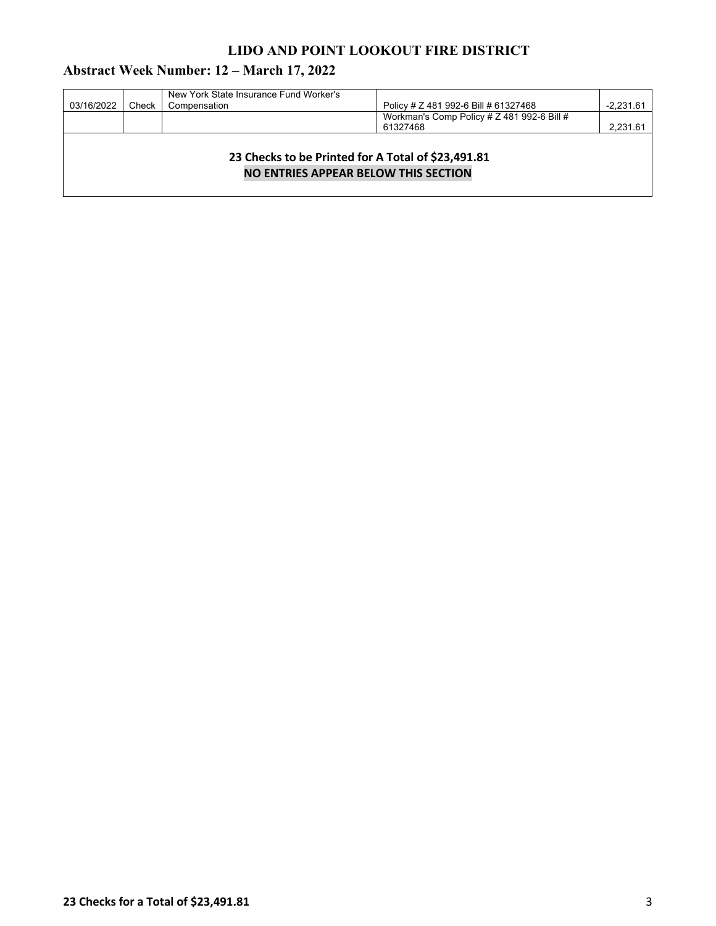# **Abstract Week Number: 12 – March 17, 2022**

| 03/16/2022                                                                                        | Check | New York State Insurance Fund Worker's<br>Compensation | Policy # Z 481 992-6 Bill # 61327468                   | $-2,231.61$ |  |  |
|---------------------------------------------------------------------------------------------------|-------|--------------------------------------------------------|--------------------------------------------------------|-------------|--|--|
|                                                                                                   |       |                                                        | Workman's Comp Policy # Z 481 992-6 Bill #<br>61327468 | 2,231.61    |  |  |
| 23 Checks to be Printed for A Total of \$23,491.81<br><b>NO ENTRIES APPEAR BELOW THIS SECTION</b> |       |                                                        |                                                        |             |  |  |